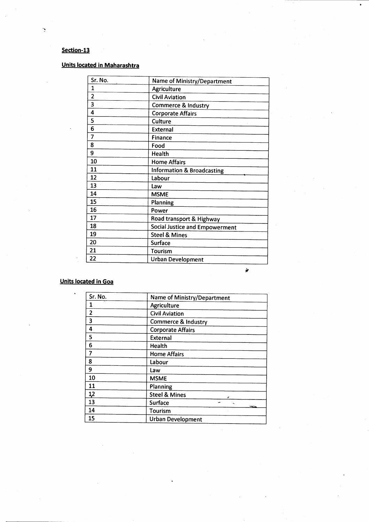## **Section-13**

ý

## **Units located in Maharashtra**

| Sr. No.        | Name of Ministry/Department           |
|----------------|---------------------------------------|
| $\mathbf{1}$   | Agriculture                           |
| $\overline{2}$ | <b>Civil Aviation</b>                 |
| 3              | Commerce & Industry                   |
| 4              | <b>Corporate Affairs</b>              |
| 5              | Culture                               |
| 6              | External                              |
| 7              | <b>Finance</b>                        |
| 8              | Food                                  |
| 9              | <b>Health</b>                         |
| 10             | <b>Home Affairs</b>                   |
| 11             | Information & Broadcasting            |
| 12             | Labour                                |
| 13             | Law                                   |
| 14             | <b>MSME</b>                           |
| 15             | Planning                              |
| 16             | Power                                 |
| 17             | Road transport & Highway              |
| 18             | <b>Social Justice and Empowerment</b> |
| 19             | <b>Steel &amp; Mines</b>              |
| 20             | <b>Surface</b>                        |
| 21             | Tourism                               |
| 22             | <b>Urban Development</b>              |

## **Units located in Goa**

| Sr. No.                 | Name of Ministry/Department    |
|-------------------------|--------------------------------|
| 1                       | Agriculture                    |
| $\overline{\mathbf{c}}$ | <b>Civil Aviation</b>          |
| 3                       | <b>Commerce &amp; Industry</b> |
| 4                       | <b>Corporate Affairs</b>       |
| 5                       | <b>External</b>                |
| 6                       | Health                         |
| 7                       | <b>Home Affairs</b>            |
| 8                       | Labour                         |
| 9                       | Law                            |
| 10                      | <b>MSME</b>                    |
| 11                      | Planning                       |
| 12                      | <b>Steel &amp; Mines</b>       |
| 13                      | Surface<br>ä.                  |
| 14                      | <b>Waggins</b><br>Tourism      |
| 15                      | <b>Urban Development</b>       |

 $\frac{1}{\sqrt{2}}$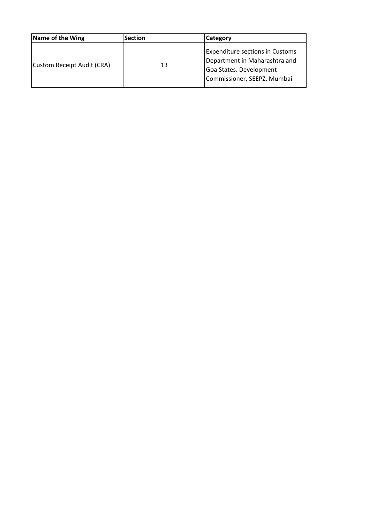| Name of the Wing           | <b>Section</b> | <b>Category</b>                                                                                                                   |  |
|----------------------------|----------------|-----------------------------------------------------------------------------------------------------------------------------------|--|
| Custom Receipt Audit (CRA) | 13             | <b>Expenditure sections in Customs</b><br>Department in Maharashtra and<br>Goa States. Development<br>Commissioner, SEEPZ, Mumbai |  |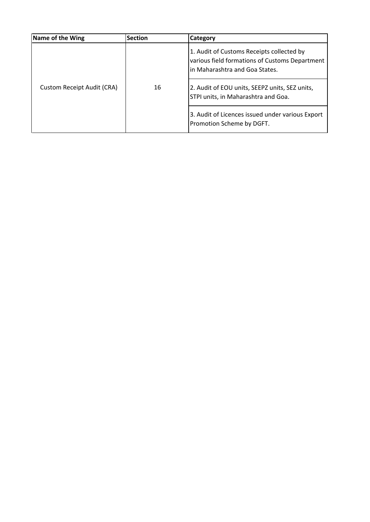| Name of the Wing                  | <b>Section</b> | <b>Category</b>                                                                                                               |
|-----------------------------------|----------------|-------------------------------------------------------------------------------------------------------------------------------|
| <b>Custom Receipt Audit (CRA)</b> | 16             | 1. Audit of Customs Receipts collected by<br>various field formations of Customs Department<br>in Maharashtra and Goa States. |
|                                   |                | 2. Audit of EOU units, SEEPZ units, SEZ units,<br>STPI units, in Maharashtra and Goa.                                         |
|                                   |                | 3. Audit of Licences issued under various Export<br>Promotion Scheme by DGFT.                                                 |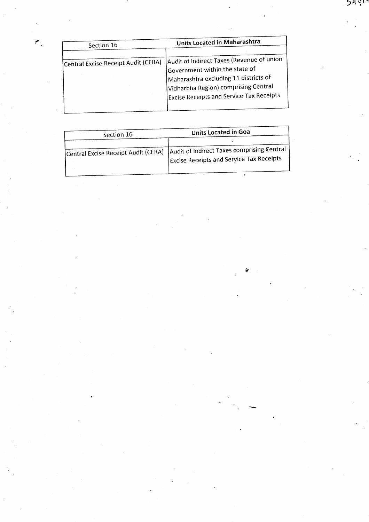| Section 16                          | Units Located in Maharashtra                                                                                                                                                                                    |  |
|-------------------------------------|-----------------------------------------------------------------------------------------------------------------------------------------------------------------------------------------------------------------|--|
|                                     |                                                                                                                                                                                                                 |  |
| Central Excise Receipt Audit (CERA) | Audit of Indirect Taxes (Revenue of union<br>Government within the state of<br>Maharashtra excluding 11 districts of<br>Vidharbha Region) comprising Central<br><b>Excise Receipts and Service Tax Receipts</b> |  |

 $\mathcal{F}_{\mathcal{L}}$ 

| Section 16                          | Units Located in Goa                                                                          |
|-------------------------------------|-----------------------------------------------------------------------------------------------|
| Central Excise Receipt Audit (CERA) | Audit of Indirect Taxes comprising Central<br><b>Excise Receipts and Service Tax Receipts</b> |